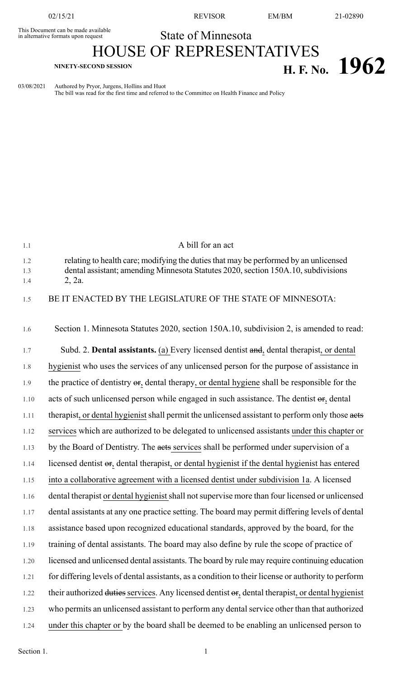This Document can be made available<br>in alternative formats upon request

02/15/21 REVISOR EM/BM 21-02890

## State of Minnesota

## HOUSE OF REPRESENTATIVES **H. F. No.**  $1962$

03/08/2021 Authored by Pryor, Jurgens, Hollins and Huot

The bill was read for the first time and referred to the Committee on Health Finance and Policy

| 1.1        | A bill for an act                                                                                                                                                         |
|------------|---------------------------------------------------------------------------------------------------------------------------------------------------------------------------|
| 1.2<br>1.3 | relating to health care; modifying the duties that may be performed by an unlicensed<br>dental assistant; amending Minnesota Statutes 2020, section 150A.10, subdivisions |
| 1.4        | 2, 2a.                                                                                                                                                                    |
| 1.5        | BE IT ENACTED BY THE LEGISLATURE OF THE STATE OF MINNESOTA:                                                                                                               |
|            |                                                                                                                                                                           |
| 1.6        | Section 1. Minnesota Statutes 2020, section 150A.10, subdivision 2, is amended to read:                                                                                   |
| 1.7        | Subd. 2. Dental assistants. (a) Every licensed dentist and, dental therapist, or dental                                                                                   |
| 1.8        | hygienist who uses the services of any unlicensed person for the purpose of assistance in                                                                                 |
| 1.9        | the practice of dentistry $\Theta$ , dental therapy, or dental hygiene shall be responsible for the                                                                       |
| 1.10       | acts of such unlicensed person while engaged in such assistance. The dentist or, dental                                                                                   |
| 1.11       | therapist, or dental hygienist shall permit the unlicensed assistant to perform only those aets                                                                           |
| 1.12       | services which are authorized to be delegated to unlicensed assistants under this chapter or                                                                              |
| 1.13       | by the Board of Dentistry. The aets services shall be performed under supervision of a                                                                                    |
| 1.14       | licensed dentist or, dental therapist, or dental hygienist if the dental hygienist has entered                                                                            |
| 1.15       | into a collaborative agreement with a licensed dentist under subdivision 1a. A licensed                                                                                   |
| 1.16       | dental therapist or dental hygienist shall not supervise more than four licensed or unlicensed                                                                            |
| 1.17       | dental assistants at any one practice setting. The board may permit differing levels of dental                                                                            |
| 1.18       | assistance based upon recognized educational standards, approved by the board, for the                                                                                    |
| 1.19       | training of dental assistants. The board may also define by rule the scope of practice of                                                                                 |
| 1.20       | licensed and unlicensed dental assistants. The board by rule may require continuing education                                                                             |
| 1.21       | for differing levels of dental assistants, as a condition to their license or authority to perform                                                                        |
| 1.22       | their authorized duties services. Any licensed dentist or, dental therapist, or dental hygienist                                                                          |
| 1.23       | who permits an unlicensed assistant to perform any dental service other than that authorized                                                                              |
| 1.24       | under this chapter or by the board shall be deemed to be enabling an unlicensed person to                                                                                 |

Section 1.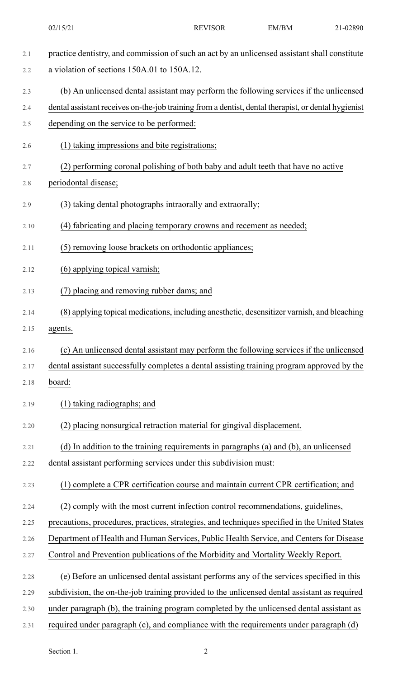2.1 practice dentistry, and commission of such an act by an unlicensed assistant shall constitute 2.2 a violation of sections 150A.01 to 150A.12. 2.3 (b) An unlicensed dental assistant may perform the following services if the unlicensed 2.4 dental assistant receives on-the-job training from a dentist, dental therapist, or dental hygienist 2.5 depending on the service to be performed: 2.6 (1) taking impressions and bite registrations; 2.7 (2) performing coronal polishing of both baby and adult teeth that have no active 2.8 periodontal disease; 2.9 (3) taking dental photographs intraorally and extraorally; 2.10 (4) fabricating and placing temporary crowns and recement as needed; 2.11 (5) removing loose brackets on orthodontic appliances; 2.12 (6) applying topical varnish; 2.13 (7) placing and removing rubber dams; and 2.14 (8) applying topical medications, including anesthetic, desensitizer varnish, and bleaching 2.15 agents. 2.16 (c) An unlicensed dental assistant may perform the following services if the unlicensed 2.17 dental assistant successfully completes a dental assisting training program approved by the 2.18 board: 2.19 (1) taking radiographs; and 2.20 (2) placing nonsurgical retraction material for gingival displacement. 2.21 (d) In addition to the training requirements in paragraphs (a) and (b), an unlicensed 2.22 dental assistant performing services under this subdivision must: 2.23 (1) complete a CPR certification course and maintain current CPR certification; and 2.24 (2) comply with the most current infection control recommendations, guidelines, 2.25 precautions, procedures, practices, strategies, and techniques specified in the United States 2.26 Department of Health and Human Services, Public Health Service, and Centers for Disease 2.27 Control and Prevention publications of the Morbidity and Mortality Weekly Report. 2.28 (e) Before an unlicensed dental assistant performs any of the services specified in this 2.29 subdivision, the on-the-job training provided to the unlicensed dental assistant as required 2.30 under paragraph (b), the training program completed by the unlicensed dental assistant as 2.31 required under paragraph (c), and compliance with the requirements under paragraph (d)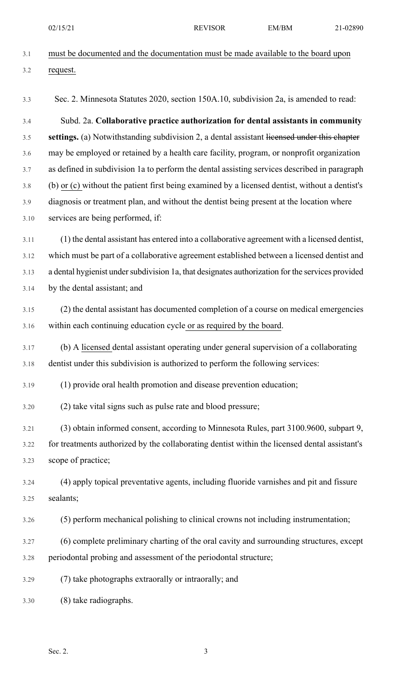02/15/21 REVISOR EM/BM 21-02890

- 3.1 must be documented and the documentation must be made available to the board upon 3.2 request.
- 3.3 Sec. 2. Minnesota Statutes 2020, section 150A.10, subdivision 2a, is amended to read:

3.4 Subd. 2a. **Collaborative practice authorization for dental assistants in community** 3.5 **settings.** (a) Notwithstanding subdivision 2, a dental assistant licensed under this chapter 3.6 may be employed or retained by a health care facility, program, or nonprofit organization 3.7 as defined in subdivision 1a to perform the dental assisting services described in paragraph 3.8 (b) or (c) without the patient first being examined by a licensed dentist, without a dentist's 3.9 diagnosis or treatment plan, and without the dentist being present at the location where 3.10 services are being performed, if:

3.11 (1) the dental assistant has entered into a collaborative agreement with a licensed dentist, 3.12 which must be part of a collaborative agreement established between a licensed dentist and 3.13 a dental hygienist under subdivision 1a, that designates authorization for the services provided 3.14 by the dental assistant; and

- 3.15 (2) the dental assistant has documented completion of a course on medical emergencies 3.16 within each continuing education cycle or as required by the board.
- 3.17 (b) A licensed dental assistant operating under general supervision of a collaborating 3.18 dentist under this subdivision is authorized to perform the following services:

3.19 (1) provide oral health promotion and disease prevention education;

3.20 (2) take vital signs such as pulse rate and blood pressure;

3.21 (3) obtain informed consent, according to Minnesota Rules, part 3100.9600, subpart 9, 3.22 for treatments authorized by the collaborating dentist within the licensed dental assistant's 3.23 scope of practice;

3.24 (4) apply topical preventative agents, including fluoride varnishes and pit and fissure 3.25 sealants;

3.26 (5) perform mechanical polishing to clinical crowns not including instrumentation;

3.27 (6) complete preliminary charting of the oral cavity and surrounding structures, except 3.28 periodontal probing and assessment of the periodontal structure;

3.29 (7) take photographs extraorally or intraorally; and

3.30 (8) take radiographs.